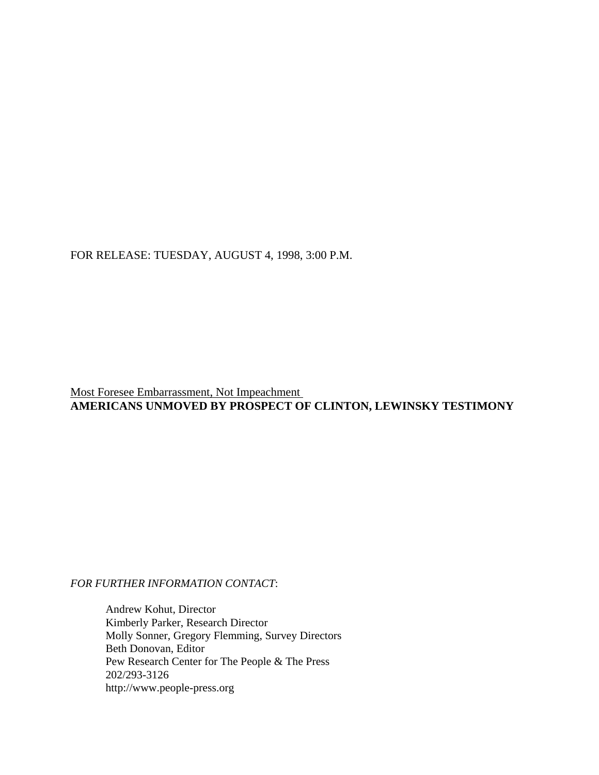FOR RELEASE: TUESDAY, AUGUST 4, 1998, 3:00 P.M.

Most Foresee Embarrassment, Not Impeachment **AMERICANS UNMOVED BY PROSPECT OF CLINTON, LEWINSKY TESTIMONY**

# *FOR FURTHER INFORMATION CONTACT*:

Andrew Kohut, Director Kimberly Parker, Research Director Molly Sonner, Gregory Flemming, Survey Directors Beth Donovan, Editor Pew Research Center for The People & The Press 202/293-3126 http://www.people-press.org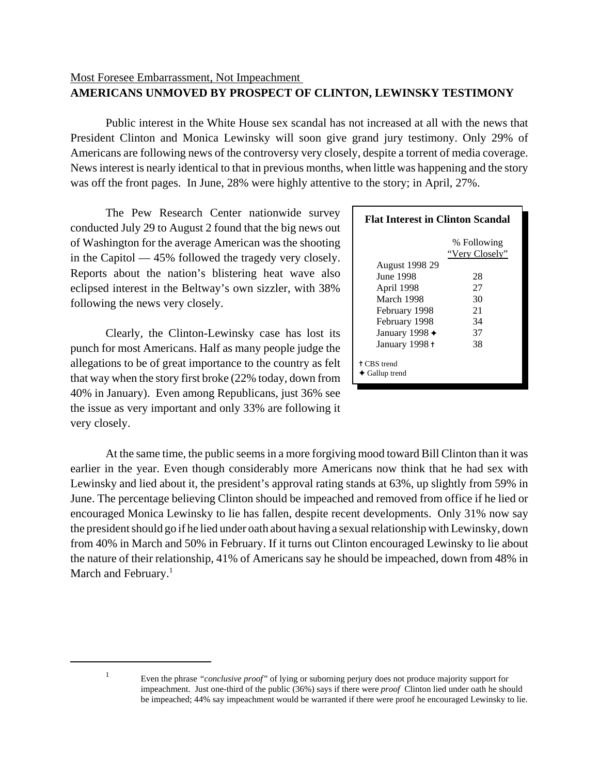# Most Foresee Embarrassment, Not Impeachment **AMERICANS UNMOVED BY PROSPECT OF CLINTON, LEWINSKY TESTIMONY**

Public interest in the White House sex scandal has not increased at all with the news that President Clinton and Monica Lewinsky will soon give grand jury testimony. Only 29% of Americans are following news of the controversy very closely, despite a torrent of media coverage. News interest is nearly identical to that in previous months, when little was happening and the story was off the front pages. In June, 28% were highly attentive to the story; in April, 27%.

The Pew Research Center nationwide survey conducted July 29 to August 2 found that the big news out of Washington for the average American was the shooting in the Capitol — 45% followed the tragedy very closely. Reports about the nation's blistering heat wave also eclipsed interest in the Beltway's own sizzler, with 38% following the news very closely.

Clearly, the Clinton-Lewinsky case has lost its punch for most Americans. Half as many people judge the allegations to be of great importance to the country as felt that way when the story first broke (22% today, down from 40% in January). Even among Republicans, just 36% see the issue as very important and only 33% are following it very closely.

| <b>Flat Interest in Clinton Scandal</b>                |                               |  |  |  |
|--------------------------------------------------------|-------------------------------|--|--|--|
|                                                        | % Following<br>"Very Closely" |  |  |  |
| <b>August 1998 29</b>                                  |                               |  |  |  |
| <b>June 1998</b>                                       | 28                            |  |  |  |
| April 1998                                             | 27                            |  |  |  |
| March 1998                                             | 30                            |  |  |  |
| February 1998                                          | 21                            |  |  |  |
| February 1998                                          | 34                            |  |  |  |
| January 1998 $\triangleleft$                           | 37                            |  |  |  |
| January 1998 +                                         | 38                            |  |  |  |
| <sup>†</sup> CBS trend<br>$\blacklozenge$ Gallup trend |                               |  |  |  |

At the same time, the public seems in a more forgiving mood toward Bill Clinton than it was earlier in the year. Even though considerably more Americans now think that he had sex with Lewinsky and lied about it, the president's approval rating stands at 63%, up slightly from 59% in June. The percentage believing Clinton should be impeached and removed from office if he lied or encouraged Monica Lewinsky to lie has fallen, despite recent developments. Only 31% now say the president should go if he lied under oath about having a sexual relationship with Lewinsky, down from 40% in March and 50% in February. If it turns out Clinton encouraged Lewinsky to lie about the nature of their relationship, 41% of Americans say he should be impeached, down from 48% in March and February. $<sup>1</sup>$ </sup>

<sup>1</sup> Even the phrase *"conclusive proof"* of lying or suborning perjury does not produce majority support for impeachment. Just one-third of the public (36%) says if there were *proof* Clinton lied under oath he should be impeached; 44% say impeachment would be warranted if there were proof he encouraged Lewinsky to lie.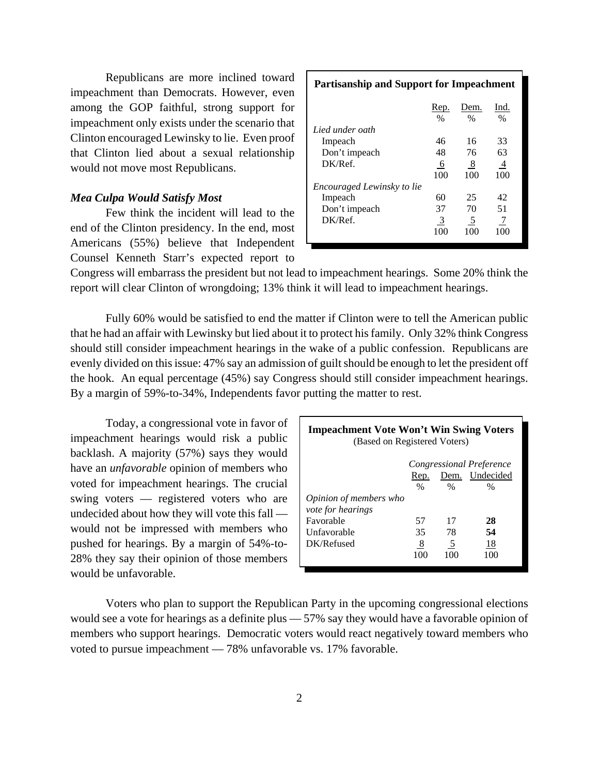Republicans are more inclined toward impeachment than Democrats. However, even among the GOP faithful, strong support for impeachment only exists under the scenario that Clinton encouraged Lewinsky to lie. Even proof that Clinton lied about a sexual relationship would not move most Republicans.

# *Mea Culpa Would Satisfy Most*

Few think the incident will lead to the end of the Clinton presidency. In the end, most Americans (55%) believe that Independent Counsel Kenneth Starr's expected report to

| <b>Partisanship and Support for Impeachment</b> |      |      |      |  |  |
|-------------------------------------------------|------|------|------|--|--|
|                                                 | Rep. | Dem. | Ind. |  |  |
| Lied under oath                                 | $\%$ | $\%$ | $\%$ |  |  |
| Impeach                                         | 46   | 16   | 33   |  |  |
| Don't impeach                                   | 48   | 76   | 63   |  |  |
| DK/Ref.                                         | -6   | 8    | 4    |  |  |
|                                                 | 100  | 100  | 100  |  |  |
| Encouraged Lewinsky to lie                      |      |      |      |  |  |
| Impeach                                         | 60   | 25   | 42   |  |  |
| Don't impeach                                   | 37   | 70   | 51   |  |  |
| DK/Ref.                                         | 3    | 5    |      |  |  |
|                                                 | 100  | 100  | 100  |  |  |

Congress will embarrass the president but not lead to impeachment hearings. Some 20% think the report will clear Clinton of wrongdoing; 13% think it will lead to impeachment hearings.

Fully 60% would be satisfied to end the matter if Clinton were to tell the American public that he had an affair with Lewinsky but lied about it to protect his family. Only 32% think Congress should still consider impeachment hearings in the wake of a public confession. Republicans are evenly divided on this issue: 47% say an admission of guilt should be enough to let the president off the hook. An equal percentage (45%) say Congress should still consider impeachment hearings. By a margin of 59%-to-34%, Independents favor putting the matter to rest.

Today, a congressional vote in favor of impeachment hearings would risk a public backlash. A majority (57%) says they would have an *unfavorable* opinion of members who voted for impeachment hearings. The crucial swing voters — registered voters who are undecided about how they will vote this fall would not be impressed with members who pushed for hearings. By a margin of 54%-to-28% they say their opinion of those members would be unfavorable.

| <b>Impeachment Vote Won't Win Swing Voters</b><br>(Based on Registered Voters) |                        |      |      |  |  |  |  |
|--------------------------------------------------------------------------------|------------------------|------|------|--|--|--|--|
| Congressional Preference                                                       |                        |      |      |  |  |  |  |
|                                                                                | Dem. Undecided<br>Rep. |      |      |  |  |  |  |
|                                                                                | $\%$                   | $\%$ | $\%$ |  |  |  |  |
| <i>Opinion of members who</i>                                                  |                        |      |      |  |  |  |  |
| <i>vote for hearings</i>                                                       |                        |      |      |  |  |  |  |
| Favorable                                                                      | 57                     | 17   | 28   |  |  |  |  |
| Unfavorable                                                                    | 35                     | 78   | 54   |  |  |  |  |
| DK/Refused                                                                     | $\overline{8}$         | 5    | 18   |  |  |  |  |
|                                                                                | 100                    | 100  | 100  |  |  |  |  |

Voters who plan to support the Republican Party in the upcoming congressional elections would see a vote for hearings as a definite plus — 57% say they would have a favorable opinion of members who support hearings. Democratic voters would react negatively toward members who voted to pursue impeachment — 78% unfavorable vs. 17% favorable.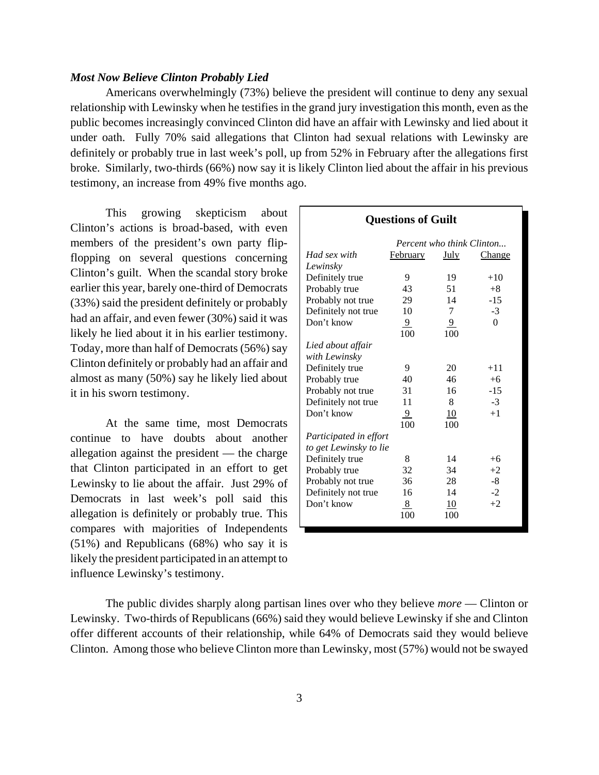## *Most Now Believe Clinton Probably Lied*

Americans overwhelmingly (73%) believe the president will continue to deny any sexual relationship with Lewinsky when he testifies in the grand jury investigation this month, even as the public becomes increasingly convinced Clinton did have an affair with Lewinsky and lied about it under oath. Fully 70% said allegations that Clinton had sexual relations with Lewinsky are definitely or probably true in last week's poll, up from 52% in February after the allegations first broke. Similarly, two-thirds (66%) now say it is likely Clinton lied about the affair in his previous testimony, an increase from 49% five months ago.

This growing skepticism about Clinton's actions is broad-based, with even members of the president's own party flipflopping on several questions concerning Clinton's guilt. When the scandal story broke earlier this year, barely one-third of Democrats (33%) said the president definitely or probably had an affair, and even fewer (30%) said it was likely he lied about it in his earlier testimony. Today, more than half of Democrats (56%) say Clinton definitely or probably had an affair and almost as many (50%) say he likely lied about it in his sworn testimony.

At the same time, most Democrats continue to have doubts about another allegation against the president — the charge that Clinton participated in an effort to get Lewinsky to lie about the affair. Just 29% of Democrats in last week's poll said this allegation is definitely or probably true. This compares with majorities of Independents (51%) and Republicans (68%) who say it is likely the president participated in an attempt to influence Lewinsky's testimony.

| <b>Questions of Guilt</b> |                           |               |               |  |
|---------------------------|---------------------------|---------------|---------------|--|
|                           | Percent who think Clinton |               |               |  |
| Had sex with              | <b>February</b>           | <u>July</u>   | <b>Change</b> |  |
| Lewinsky                  |                           |               |               |  |
| Definitely true           | 9                         | 19            | $+10$         |  |
| Probably true             | 43                        | 51            | $+8$          |  |
| Probably not true         | 29                        | 14            | $-15$         |  |
| Definitely not true       | 10                        | 7             | $-3$          |  |
| Don't know                | $\overline{9}$            | $\frac{9}{2}$ | $\Omega$      |  |
|                           | 100                       | 100           |               |  |
| Lied about affair         |                           |               |               |  |
| with Lewinsky             |                           |               |               |  |
| Definitely true           | 9                         | 20            | $+11$         |  |
| Probably true             | 40                        | 46            | $+6$          |  |
| Probably not true         | 31                        | 16            | $-15$         |  |
| Definitely not true       | 11                        | 8             | $-3$          |  |
| Don't know                | $\overline{9}$            | 10            | $+1$          |  |
|                           | 100                       | 100           |               |  |
| Participated in effort    |                           |               |               |  |
| to get Lewinsky to lie    |                           |               |               |  |
| Definitely true           | 8                         | 14            | $+6$          |  |
| Probably true             | 32                        | 34            | $+2$          |  |
| Probably not true         | 36                        | 28            | $-8$          |  |
| Definitely not true       | 16                        | 14            | $-2$          |  |
| Don't know                | 8                         | 10            | $+2$          |  |
|                           | 100                       | 100           |               |  |

The public divides sharply along partisan lines over who they believe *more* — Clinton or Lewinsky. Two-thirds of Republicans (66%) said they would believe Lewinsky if she and Clinton offer different accounts of their relationship, while 64% of Democrats said they would believe Clinton. Among those who believe Clinton more than Lewinsky, most (57%) would not be swayed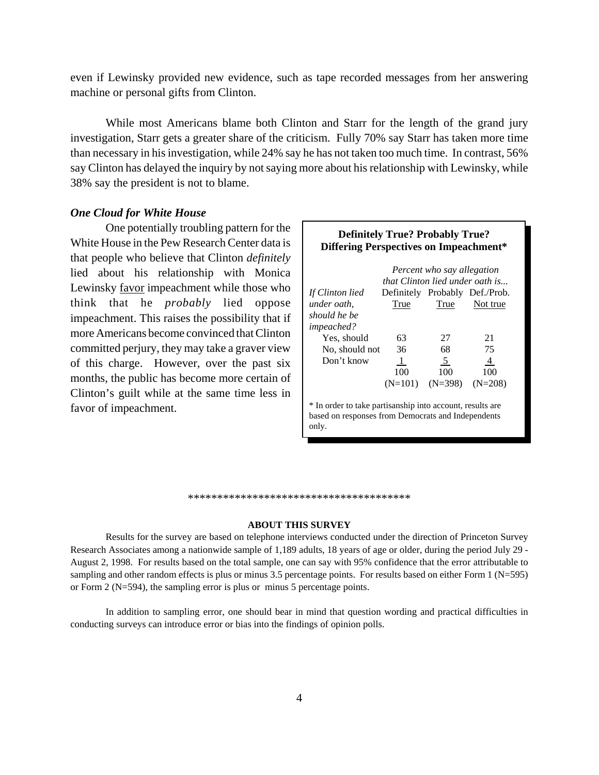even if Lewinsky provided new evidence, such as tape recorded messages from her answering machine or personal gifts from Clinton.

While most Americans blame both Clinton and Starr for the length of the grand jury investigation, Starr gets a greater share of the criticism. Fully 70% say Starr has taken more time than necessary in his investigation, while 24% say he has not taken too much time. In contrast, 56% say Clinton has delayed the inquiry by not saying more about his relationship with Lewinsky, while 38% say the president is not to blame.

## *One Cloud for White House*

One potentially troubling pattern for the White House in the Pew Research Center data is that people who believe that Clinton *definitely* lied about his relationship with Monica Lewinsky favor impeachment while those who think that he *probably* lied oppose impeachment. This raises the possibility that if more Americans become convinced that Clinton committed perjury, they may take a graver view of this charge. However, over the past six months, the public has become more certain of Clinton's guilt while at the same time less in favor of impeachment.

# **Definitely True? Probably True? Differing Perspectives on Impeachment\***

|                   | that Clinton lied under oath is | Percent who say allegation |                                |
|-------------------|---------------------------------|----------------------------|--------------------------------|
| If Clinton lied   |                                 |                            | Definitely Probably Def./Prob. |
| under oath.       | True                            | True                       | Not true                       |
| should he be      |                                 |                            |                                |
| <i>impeached?</i> |                                 |                            |                                |
| Yes, should       | 63                              | 27                         | 21                             |
| No, should not    | 36                              | 68                         | 75                             |
| Don't know        | $\perp$                         | 5                          | 4                              |
|                   | 100                             | 100                        | 100                            |
|                   |                                 | $(N=398)$                  |                                |

\* In order to take partisanship into account, results are based on responses from Democrats and Independents only.

#### \*\*\*\*\*\*\*\*\*\*\*\*\*\*\*\*\*\*\*\*\*\*\*\*\*\*\*\*\*\*\*\*\*\*\*\*\*\*

#### **ABOUT THIS SURVEY**

Results for the survey are based on telephone interviews conducted under the direction of Princeton Survey Research Associates among a nationwide sample of 1,189 adults, 18 years of age or older, during the period July 29 - August 2, 1998. For results based on the total sample, one can say with 95% confidence that the error attributable to sampling and other random effects is plus or minus 3.5 percentage points. For results based on either Form 1 (N=595) or Form 2 (N=594), the sampling error is plus or minus 5 percentage points.

In addition to sampling error, one should bear in mind that question wording and practical difficulties in conducting surveys can introduce error or bias into the findings of opinion polls.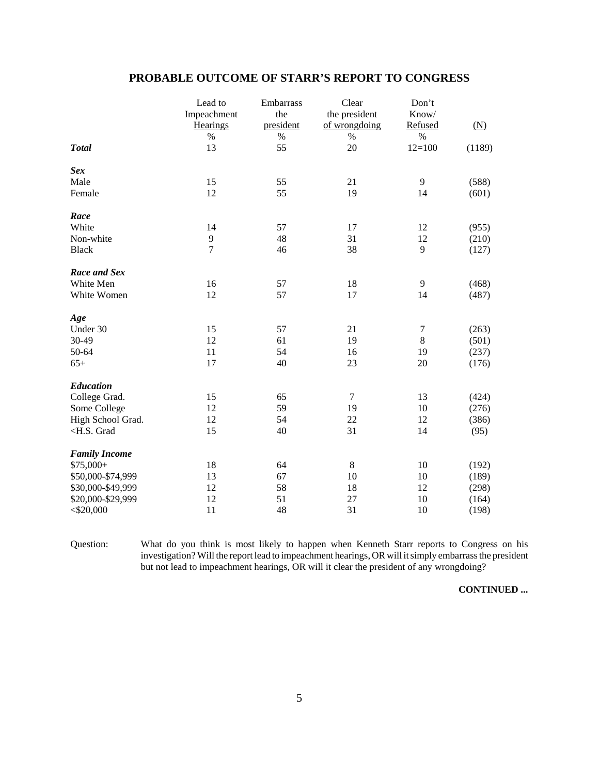|                                                                                       | Lead to        | Embarrass | Clear         | Don't    |        |
|---------------------------------------------------------------------------------------|----------------|-----------|---------------|----------|--------|
|                                                                                       | Impeachment    | the       | the president | Know/    |        |
|                                                                                       | Hearings       | president | of wrongdoing | Refused  | (N)    |
|                                                                                       | $\%$           | %         | $\%$          | $\%$     |        |
| <b>Total</b>                                                                          | 13             | 55        | 20            | $12=100$ | (1189) |
| <b>Sex</b>                                                                            |                |           |               |          |        |
| Male                                                                                  | 15             | 55        | 21            | 9        | (588)  |
| Female                                                                                | 12             | 55        | 19            | 14       | (601)  |
| Race                                                                                  |                |           |               |          |        |
| White                                                                                 | 14             | 57        | 17            | 12       | (955)  |
| Non-white                                                                             | 9              | 48        | 31            | 12       | (210)  |
| <b>Black</b>                                                                          | $\overline{7}$ | 46        | 38            | 9        | (127)  |
| Race and Sex                                                                          |                |           |               |          |        |
| White Men                                                                             | 16             | 57        | 18            | 9        | (468)  |
| White Women                                                                           | 12             | 57        | 17            | 14       | (487)  |
| Age                                                                                   |                |           |               |          |        |
| Under 30                                                                              | 15             | 57        | 21            | $\tau$   | (263)  |
| 30-49                                                                                 | 12             | 61        | 19            | $\,8\,$  | (501)  |
| 50-64                                                                                 | 11             | 54        | 16            | 19       | (237)  |
| $65+$                                                                                 | 17             | 40        | 23            | 20       | (176)  |
| <b>Education</b>                                                                      |                |           |               |          |        |
| College Grad.                                                                         | 15             | 65        | $\tau$        | 13       | (424)  |
| Some College                                                                          | 12             | 59        | 19            | 10       | (276)  |
| High School Grad.                                                                     | 12             | 54        | 22            | 12       | (386)  |
| <h.s. grad<="" td=""><td>15</td><td>40</td><td>31</td><td>14</td><td>(95)</td></h.s.> | 15             | 40        | 31            | 14       | (95)   |
| <b>Family Income</b>                                                                  |                |           |               |          |        |
| $$75,000+$                                                                            | 18             | 64        | $\,8\,$       | 10       | (192)  |
| \$50,000-\$74,999                                                                     | 13             | 67        | 10            | 10       | (189)  |
| \$30,000-\$49,999                                                                     | 12             | 58        | 18            | 12       | (298)  |
| \$20,000-\$29,999                                                                     | 12             | 51        | 27            | 10       | (164)  |
| $<$ \$20,000                                                                          | 11             | 48        | 31            | 10       | (198)  |

# **PROBABLE OUTCOME OF STARR'S REPORT TO CONGRESS**

Question: What do you think is most likely to happen when Kenneth Starr reports to Congress on his investigation? Will the report lead to impeachment hearings, OR will it simply embarrass the president but not lead to impeachment hearings, OR will it clear the president of any wrongdoing?

**CONTINUED ...**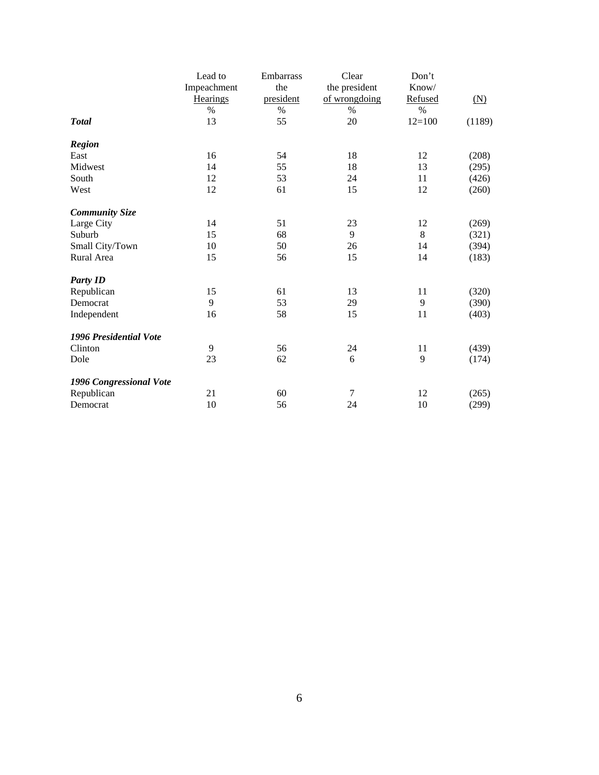|                               | Lead to         | Embarrass | Clear         | Don't    |        |
|-------------------------------|-----------------|-----------|---------------|----------|--------|
|                               | Impeachment     | the       | the president | Know/    |        |
|                               | <b>Hearings</b> | president | of wrongdoing | Refused  | (N)    |
|                               | $\%$            | $\%$      | $\%$          | $\%$     |        |
| <b>Total</b>                  | 13              | 55        | 20            | $12=100$ | (1189) |
| <b>Region</b>                 |                 |           |               |          |        |
| East                          | 16              | 54        | 18            | 12       | (208)  |
| Midwest                       | 14              | 55        | 18            | 13       | (295)  |
| South                         | 12              | 53        | 24            | 11       | (426)  |
| West                          | 12              | 61        | 15            | 12       | (260)  |
| <b>Community Size</b>         |                 |           |               |          |        |
| Large City                    | 14              | 51        | 23            | 12       | (269)  |
| Suburb                        | 15              | 68        | 9             | 8        | (321)  |
| Small City/Town               | 10              | 50        | 26            | 14       | (394)  |
| Rural Area                    | 15              | 56        | 15            | 14       | (183)  |
| <b>Party ID</b>               |                 |           |               |          |        |
| Republican                    | 15              | 61        | 13            | 11       | (320)  |
| Democrat                      | 9               | 53        | 29            | 9        | (390)  |
| Independent                   | 16              | 58        | 15            | 11       | (403)  |
| <b>1996 Presidential Vote</b> |                 |           |               |          |        |
| Clinton                       | 9               | 56        | 24            | 11       | (439)  |
| Dole                          | 23              | 62        | 6             | 9        | (174)  |
| 1996 Congressional Vote       |                 |           |               |          |        |
| Republican                    | 21              | 60        | 7             | 12       | (265)  |
| Democrat                      | 10              | 56        | 24            | 10       | (299)  |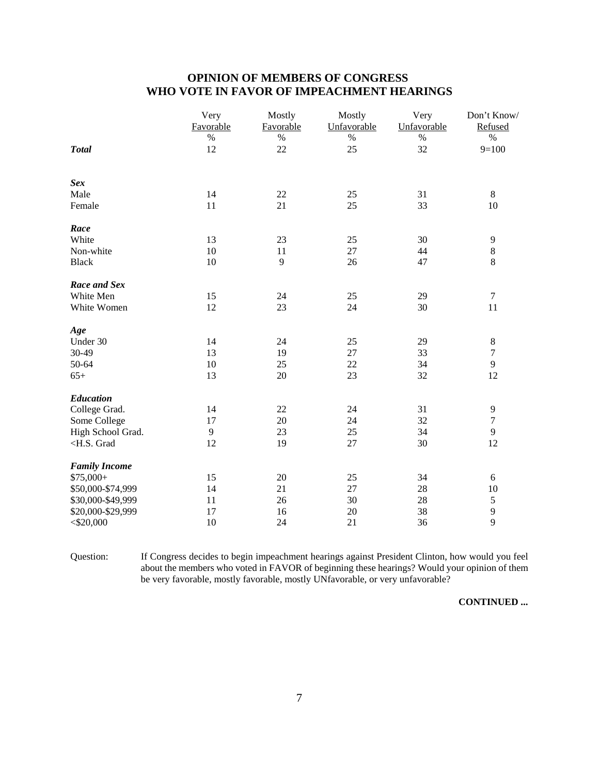# **OPINION OF MEMBERS OF CONGRESS WHO VOTE IN FAVOR OF IMPEACHMENT HEARINGS**

|                                                                                     | Very<br>Favorable | Mostly<br>Favorable | Mostly<br>Unfavorable | Very<br>Unfavorable | Don't Know/<br>Refused |
|-------------------------------------------------------------------------------------|-------------------|---------------------|-----------------------|---------------------|------------------------|
|                                                                                     | %                 | %                   | %                     | $\%$                | $\%$                   |
| <b>Total</b>                                                                        | 12                | $22\,$              | 25                    | 32                  | $9=100$                |
| <b>Sex</b>                                                                          |                   |                     |                       |                     |                        |
| Male                                                                                | 14                | $22\,$              | 25                    | 31                  | $8\,$                  |
| Female                                                                              | 11                | 21                  | 25                    | 33                  | 10                     |
| Race                                                                                |                   |                     |                       |                     |                        |
| White                                                                               | 13                | 23                  | 25                    | 30                  | 9                      |
| Non-white                                                                           | 10                | 11                  | 27                    | 44                  | 8                      |
| <b>Black</b>                                                                        | 10                | 9                   | 26                    | 47                  | 8                      |
| Race and Sex                                                                        |                   |                     |                       |                     |                        |
| White Men                                                                           | 15                | 24                  | 25                    | 29                  | $\tau$                 |
| White Women                                                                         | 12                | 23                  | 24                    | 30                  | 11                     |
| Age                                                                                 |                   |                     |                       |                     |                        |
| Under 30                                                                            | 14                | 24                  | 25                    | 29                  | 8                      |
| 30-49                                                                               | 13                | 19                  | 27                    | 33                  | $\boldsymbol{7}$       |
| 50-64                                                                               | 10                | 25                  | 22                    | 34                  | 9                      |
| $65+$                                                                               | 13                | 20                  | 23                    | 32                  | 12                     |
| Education                                                                           |                   |                     |                       |                     |                        |
| College Grad.                                                                       | 14                | 22                  | 24                    | 31                  | 9                      |
| Some College                                                                        | 17                | $20\,$              | 24                    | 32                  | $\boldsymbol{7}$       |
| High School Grad.                                                                   | 9                 | 23                  | 25                    | 34                  | 9                      |
| <h.s. grad<="" td=""><td>12</td><td>19</td><td>27</td><td>30</td><td>12</td></h.s.> | 12                | 19                  | 27                    | 30                  | 12                     |
| <b>Family Income</b>                                                                |                   |                     |                       |                     |                        |
| $$75,000+$                                                                          | 15                | $20\,$              | 25                    | 34                  | $\sqrt{6}$             |
| \$50,000-\$74,999                                                                   | 14                | 21                  | 27                    | 28                  | 10                     |
| \$30,000-\$49,999                                                                   | 11                | 26                  | 30                    | 28                  | $\mathfrak s$          |
| \$20,000-\$29,999                                                                   | 17                | 16                  | $20\,$                | 38                  | 9                      |
| $<$ \$20,000                                                                        | 10                | 24                  | 21                    | 36                  | 9                      |

Question: If Congress decides to begin impeachment hearings against President Clinton, how would you feel about the members who voted in FAVOR of beginning these hearings? Would your opinion of them be very favorable, mostly favorable, mostly UNfavorable, or very unfavorable?

**CONTINUED ...**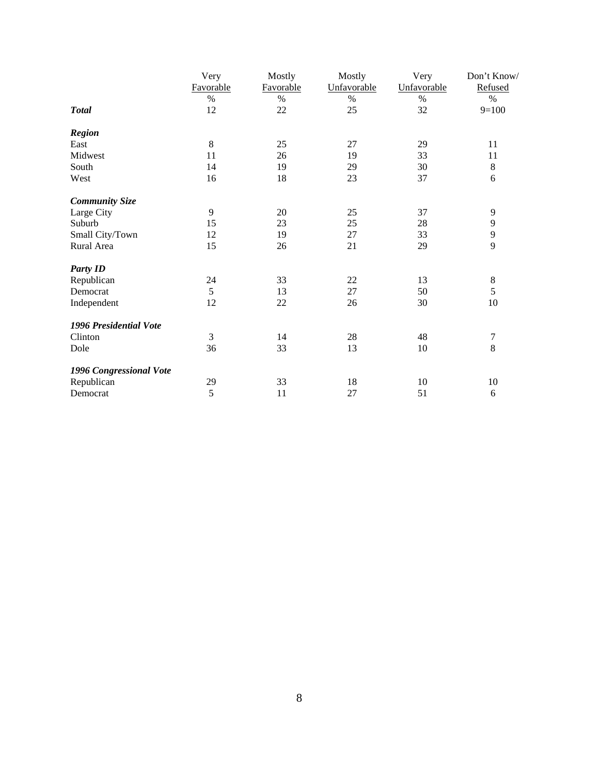|                         | Very      | Mostly    | Mostly      | Very        | Don't Know/      |
|-------------------------|-----------|-----------|-------------|-------------|------------------|
|                         | Favorable | Favorable | Unfavorable | Unfavorable | Refused          |
|                         | $\%$      | $\%$      | $\%$        | $\%$        | $\%$             |
| <b>Total</b>            | 12        | 22        | 25          | 32          | $9=100$          |
| <b>Region</b>           |           |           |             |             |                  |
| East                    | 8         | 25        | 27          | 29          | 11               |
| Midwest                 | 11        | 26        | 19          | 33          | 11               |
| South                   | 14        | 19        | 29          | 30          | $\,8\,$          |
| West                    | 16        | 18        | 23          | 37          | 6                |
| <b>Community Size</b>   |           |           |             |             |                  |
| Large City              | 9         | 20        | 25          | 37          | 9                |
| Suburb                  | 15        | 23        | 25          | 28          | 9                |
| Small City/Town         | 12        | 19        | $27\,$      | 33          | 9                |
| Rural Area              | 15        | 26        | 21          | 29          | 9                |
| <b>Party ID</b>         |           |           |             |             |                  |
| Republican              | 24        | 33        | $22\,$      | 13          | $\,8\,$          |
| Democrat                | 5         | 13        | 27          | 50          | 5                |
| Independent             | 12        | $22\,$    | 26          | 30          | $10\,$           |
| 1996 Presidential Vote  |           |           |             |             |                  |
| Clinton                 | 3         | 14        | $28\,$      | 48          | $\boldsymbol{7}$ |
| Dole                    | 36        | 33        | 13          | 10          | 8                |
| 1996 Congressional Vote |           |           |             |             |                  |
| Republican              | 29        | 33        | 18          | 10          | 10               |
| Democrat                | 5         | 11        | 27          | 51          | 6                |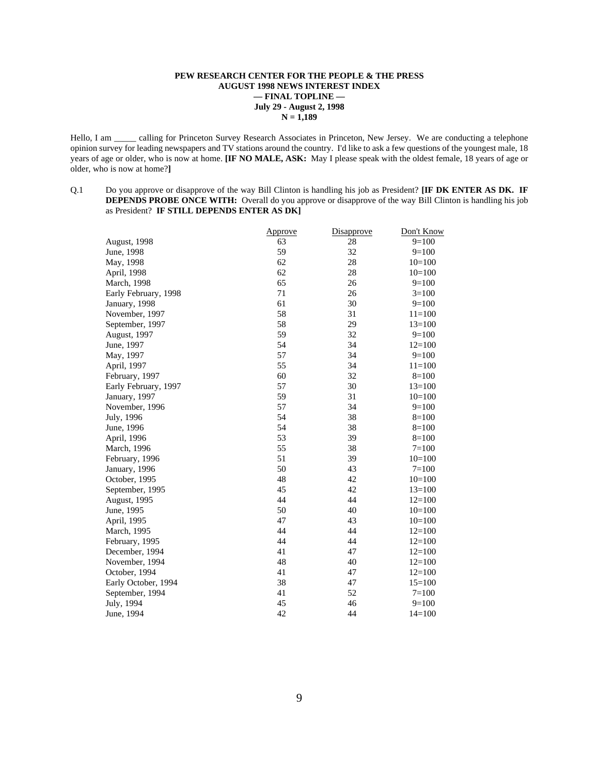#### **PEW RESEARCH CENTER FOR THE PEOPLE & THE PRESS AUGUST 1998 NEWS INTEREST INDEX — FINAL TOPLINE — July 29 - August 2, 1998 N = 1,189**

Hello, I am \_\_\_\_ calling for Princeton Survey Research Associates in Princeton, New Jersey. We are conducting a telephone opinion survey for leading newspapers and TV stations around the country. I'd like to ask a few questions of the youngest male, 18 years of age or older, who is now at home. **[IF NO MALE, ASK:** May I please speak with the oldest female, 18 years of age or older, who is now at home?**]**

Q.1 Do you approve or disapprove of the way Bill Clinton is handling his job as President? **[IF DK ENTER AS DK. IF DEPENDS PROBE ONCE WITH:** Overall do you approve or disapprove of the way Bill Clinton is handling his job as President? **IF STILL DEPENDS ENTER AS DK]**

| <b>Approve</b> |    | Don't Know |
|----------------|----|------------|
| 63             | 28 | $9=100$    |
| 59             | 32 | $9=100$    |
| 62             | 28 | $10=100$   |
| 62             | 28 | $10=100$   |
| 65             | 26 | $9=100$    |
| 71             | 26 | $3=100$    |
| 61             | 30 | $9=100$    |
| 58             | 31 | $11 = 100$ |
| 58             | 29 | $13=100$   |
| 59             | 32 | $9=100$    |
| 54             | 34 | $12=100$   |
| 57             | 34 | $9=100$    |
| 55             | 34 | $11 = 100$ |
| 60             | 32 | $8=100$    |
| 57             | 30 | $13=100$   |
| 59             | 31 | $10=100$   |
| 57             | 34 | $9=100$    |
| 54             | 38 | $8=100$    |
| 54             | 38 | $8=100$    |
| 53             | 39 | $8=100$    |
| 55             | 38 | $7 = 100$  |
| 51             | 39 | $10=100$   |
| 50             | 43 | $7=100$    |
| 48             | 42 | $10=100$   |
| 45             | 42 | $13=100$   |
| 44             | 44 | $12 = 100$ |
| 50             | 40 | $10=100$   |
| 47             | 43 | $10=100$   |
| 44             | 44 | $12=100$   |
| 44             | 44 | $12 = 100$ |
| 41             | 47 | $12 = 100$ |
| 48             | 40 | $12=100$   |
| 41             | 47 | $12 = 100$ |
| 38             | 47 | $15=100$   |
| 41             | 52 | $7 = 100$  |
| 45             | 46 | $9=100$    |
| 42             | 44 | $14 = 100$ |
|                |    | Disapprove |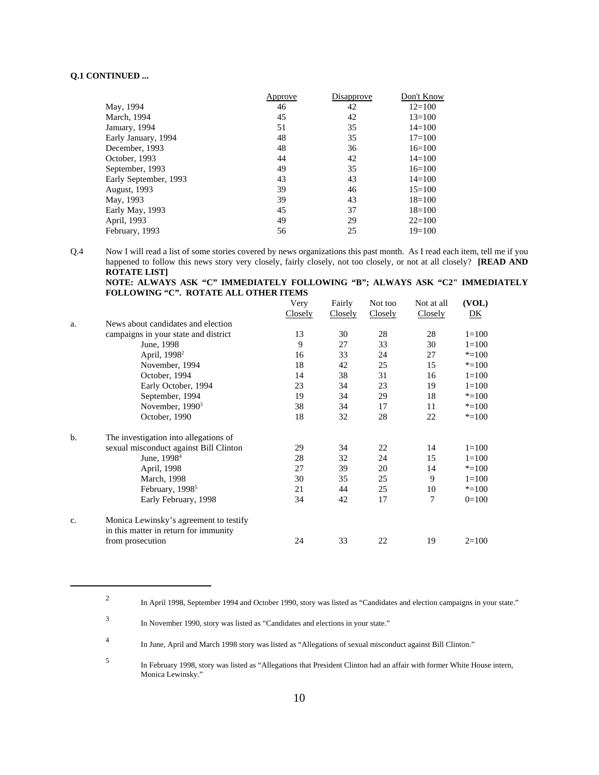### **Q.1 CONTINUED ...**

|                       | Approve | Disapprove | Don't Know |
|-----------------------|---------|------------|------------|
| May, 1994             | 46      | 42         | $12 = 100$ |
| March, 1994           | 45      | 42         | $13 = 100$ |
| January, 1994         | 51      | 35         | $14 = 100$ |
| Early January, 1994   | 48      | 35         | $17 = 100$ |
| December, 1993        | 48      | 36         | $16=100$   |
| October, 1993         | 44      | 42         | $14 = 100$ |
| September, 1993       | 49      | 35         | $16=100$   |
| Early September, 1993 | 43      | 43         | $14 = 100$ |
| <b>August, 1993</b>   | 39      | 46         | $15=100$   |
| May, 1993             | 39      | 43         | $18=100$   |
| Early May, 1993       | 45      | 37         | $18=100$   |
| April, 1993           | 49      | 29         | $22 = 100$ |
| February, 1993        | 56      | 25         | $19=100$   |

Q.4 Now I will read a list of some stories covered by news organizations this past month. As I read each item, tell me if you happened to follow this news story very closely, fairly closely, not too closely, or not at all closely? **[READ AND ROTATE LIST]**

**NOTE: ALWAYS ASK "C" IMMEDIATELY FOLLOWING "B"; ALWAYS ASK "C2" IMMEDIATELY FOLLOWING "C". ROTATE ALL OTHER ITEMS**

|             |                                        | Very    | Fairly  | Not too | Not at all | (VOL)     |
|-------------|----------------------------------------|---------|---------|---------|------------|-----------|
|             |                                        | Closely | Closely | Closely | Closely    | DK        |
| a.          | News about candidates and election     |         |         |         |            |           |
|             | campaigns in your state and district   | 13      | 30      | 28      | 28         | $1 = 100$ |
|             | June, 1998                             | 9       | 27      | 33      | 30         | $1 = 100$ |
|             | April, 1998 <sup>2</sup>               | 16      | 33      | 24      | 27         | $* = 100$ |
|             | November, 1994                         | 18      | 42      | 25      | 15         | $* = 100$ |
|             | October, 1994                          | 14      | 38      | 31      | 16         | $1 = 100$ |
|             | Early October, 1994                    | 23      | 34      | 23      | 19         | $1 = 100$ |
|             | September, 1994                        | 19      | 34      | 29      | 18         | $* = 100$ |
|             | November, $19903$                      | 38      | 34      | 17      | 11         | $* = 100$ |
|             | October, 1990                          | 18      | 32      | 28      | 22         | $* = 100$ |
| b.          | The investigation into allegations of  |         |         |         |            |           |
|             | sexual misconduct against Bill Clinton | 29      | 34      | 22      | 14         | $1 = 100$ |
|             | June, 1998 <sup>4</sup>                | 28      | 32      | 24      | 15         | $1 = 100$ |
|             | April, 1998                            | 27      | 39      | 20      | 14         | $* = 100$ |
|             | March, 1998                            | 30      | 35      | 25      | 9          | $1 = 100$ |
|             | February, 1998 <sup>5</sup>            | 21      | 44      | 25      | 10         | $* = 100$ |
|             | Early February, 1998                   | 34      | 42      | 17      | 7          | $0=100$   |
| $C_{\star}$ | Monica Lewinsky's agreement to testify |         |         |         |            |           |
|             | in this matter in return for immunity  |         |         |         |            |           |
|             | from prosecution                       | 24      | 33      | 22      | 19         | $2=100$   |

<sup>2</sup> In April 1998, September 1994 and October 1990, story was listed as "Candidates and election campaigns in your state."

<sup>3</sup> In November 1990, story was listed as "Candidates and elections in your state."

<sup>4</sup> In June, April and March 1998 story was listed as "Allegations of sexual misconduct against Bill Clinton."

<sup>5</sup> In February 1998, story was listed as "Allegations that President Clinton had an affair with former White House intern, Monica Lewinsky."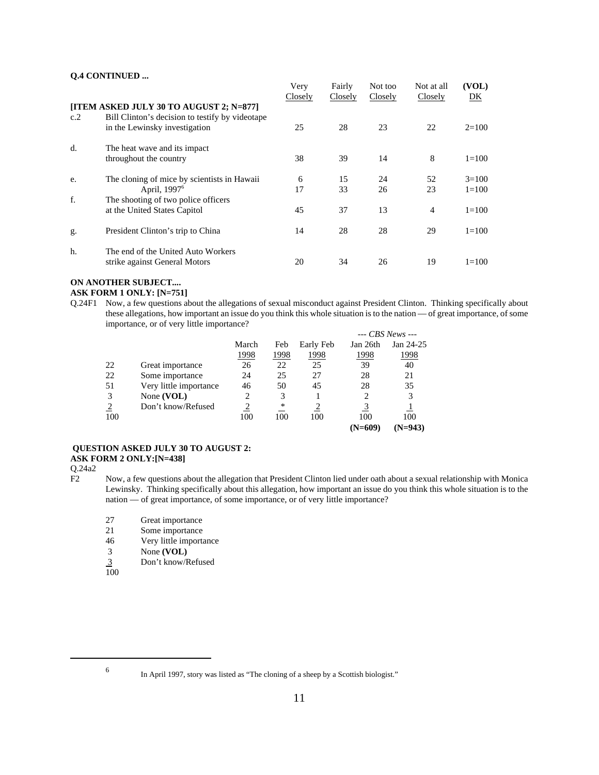## **Q.4 CONTINUED ...**

|     |                                                                     | Very<br>Closely | Fairly<br>Closely | Not too<br>Closely | Not at all<br>Closely | (VOL)<br>DK |
|-----|---------------------------------------------------------------------|-----------------|-------------------|--------------------|-----------------------|-------------|
|     | [ITEM ASKED JULY 30 TO AUGUST 2; N=877]                             |                 |                   |                    |                       |             |
| c.2 | Bill Clinton's decision to testify by videotape                     |                 |                   |                    |                       |             |
|     | in the Lewinsky investigation                                       | 25              | 28                | 23                 | 22                    | $2 = 100$   |
| d.  | The heat wave and its impact                                        |                 |                   |                    |                       |             |
|     | throughout the country                                              | 38              | 39                | 14                 | 8                     | $1 = 100$   |
| e.  | The cloning of mice by scientists in Hawaii                         | 6               | 15                | 24                 | 52                    | $3 = 100$   |
|     | April, 1997 <sup>6</sup>                                            | 17              | 33                | 26                 | 23                    | $1 = 100$   |
| f.  | The shooting of two police officers                                 |                 |                   |                    |                       |             |
|     | at the United States Capitol                                        | 45              | 37                | 13                 | $\overline{4}$        | $1 = 100$   |
| g.  | President Clinton's trip to China                                   | 14              | 28                | 28                 | 29                    | $1 = 100$   |
| h.  | The end of the United Auto Workers<br>strike against General Motors | 20              | 34                | 26                 | 19                    | $1 = 100$   |

# **ON ANOTHER SUBJECT....**

#### **ASK FORM 1 ONLY: [N=751]**

Q.24F1 Now, a few questions about the allegations of sexual misconduct against President Clinton. Thinking specifically about these allegations, how important an issue do you think this whole situation is to the nation — of great importance, of some importance, or of very little importance? *--- CBS News ---*

|     |                        |       |      |           |           | --- CBS News --- |
|-----|------------------------|-------|------|-----------|-----------|------------------|
|     |                        | March | Feb  | Early Feb | Jan 26th  | Jan 24-25        |
|     |                        | 1998  | 1998 | 1998      | 1998      | <u> 1998</u>     |
| 22  | Great importance       | 26    | 22   | 25        | 39        | 40               |
| 22  | Some importance        | 24    | 25   | 27        | 28        | 21               |
| 51  | Very little importance | 46    | 50   | 45        | 28        | 35               |
| 3   | None $(VOL)$           | 2     | 3    |           | 2         | 3                |
| 2   | Don't know/Refused     |       | *    |           |           |                  |
| 100 |                        | 100   | 100  | 100       | 100       | 100              |
|     |                        |       |      |           | $(N=609)$ | $(N=943)$        |

#### **QUESTION ASKED JULY 30 TO AUGUST 2: ASK FORM 2 ONLY:[N=438]**

Q.24a2

- Now, a few questions about the allegation that President Clinton lied under oath about a sexual relationship with Monica Lewinsky. Thinking specifically about this allegation, how important an issue do you think this whole situation is to the nation — of great importance, of some importance, or of very little importance?
	- 27 Great importance<br>21 Some importance
	- 21 Some importance<br>46 Very little importance
	- Very little importance
	- 3 None **(VOL)**
	- 3 Don't know/Refused
	- 100

<sup>6</sup> In April 1997, story was listed as "The cloning of a sheep by a Scottish biologist."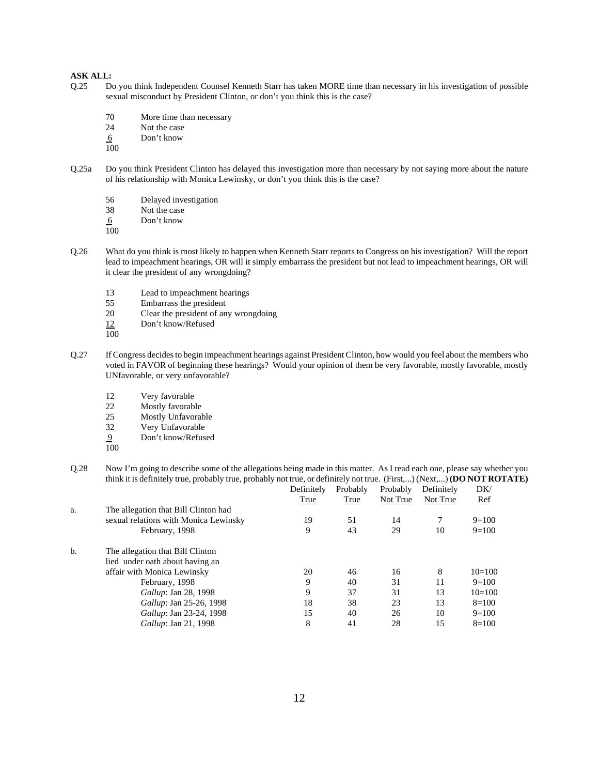### **ASK ALL:**

- Q.25 Do you think Independent Counsel Kenneth Starr has taken MORE time than necessary in his investigation of possible sexual misconduct by President Clinton, or don't you think this is the case?
	- 70 More time than necessary
	- 24 Not the case
	- 6 Don't know
	- 100
- Q.25a Do you think President Clinton has delayed this investigation more than necessary by not saying more about the nature of his relationship with Monica Lewinsky, or don't you think this is the case?
	- 56 Delayed investigation<br>38 Not the case
	- Not the case
	- 6 Don't know
	- 100
- Q.26 What do you think is most likely to happen when Kenneth Starr reports to Congress on his investigation? Will the report lead to impeachment hearings, OR will it simply embarrass the president but not lead to impeachment hearings, OR will it clear the president of any wrongdoing?
	- 13 Lead to impeachment hearings<br>55 Embarrass the president
	- 55 Embarrass the president<br>20 Clear the president of an
	- Clear the president of any wrongdoing
	- 12 Don't know/Refused
	- 100
- Q.27 If Congress decides to begin impeachment hearings against President Clinton, how would you feel about the members who voted in FAVOR of beginning these hearings? Would your opinion of them be very favorable, mostly favorable, mostly UNfavorable, or very unfavorable?
	- 12 Very favorable<br>22 Mostly favorable
	- 22 Mostly favorable<br>25 Mostly Unfavoral
	- 25 Mostly Unfavorable<br>32 Very Unfavorable
	- Very Unfavorable
	- 9 Don't know/Refused
	- 100
- Q.28 Now I'm going to describe some of the allegations being made in this matter. As I read each one, please say whether you think it is definitely true, probably true, probably not true, or definitely not true. (First,...) (Next,...) **(DO NOT ROTATE)**

|    |                                       | Definitely | Probably | Probably | Definitely | DK/      |
|----|---------------------------------------|------------|----------|----------|------------|----------|
|    |                                       | True       | True     | Not True | Not True   | $Ref$    |
| a. | The allegation that Bill Clinton had  |            |          |          |            |          |
|    | sexual relations with Monica Lewinsky | 19         | 51       | 14       |            | $9=100$  |
|    | February, 1998                        | 9          | 43       | 29       | 10         | $9=100$  |
| b. | The allegation that Bill Clinton      |            |          |          |            |          |
|    | lied under oath about having an       |            |          |          |            |          |
|    | affair with Monica Lewinsky           | 20         | 46       | 16       | 8          | $10=100$ |
|    | February, 1998                        | 9          | 40       | 31       | 11         | $9=100$  |
|    | Gallup: Jan 28, 1998                  | 9          | 37       | 31       | 13         | $10=100$ |
|    | <i>Gallup</i> : Jan 25-26, 1998       | 18         | 38       | 23       | 13         | $8=100$  |
|    | Gallup: Jan 23-24, 1998               | 15         | 40       | 26       | 10         | $9=100$  |
|    | <i>Gallup</i> : Jan 21, 1998          | 8          | 41       | 28       | 15         | $8=100$  |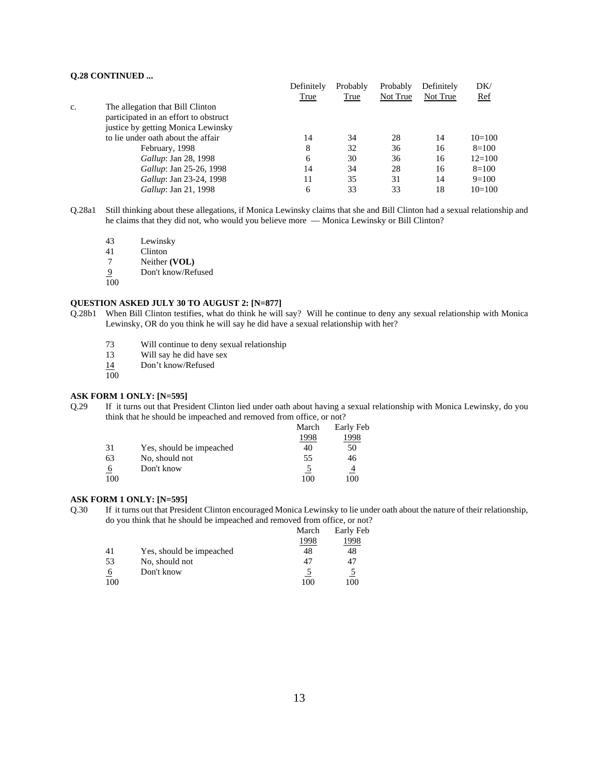## **Q.28 CONTINUED ...**

|    |                                       | Definitely | Probably | Probably | Definitely | DK/        |
|----|---------------------------------------|------------|----------|----------|------------|------------|
|    |                                       | True       | True     | Not True | Not True   | <u>Ref</u> |
| C. | The allegation that Bill Clinton      |            |          |          |            |            |
|    | participated in an effort to obstruct |            |          |          |            |            |
|    | justice by getting Monica Lewinsky    |            |          |          |            |            |
|    | to lie under oath about the affair    | 14         | 34       | 28       | 14         | $10=100$   |
|    | February, 1998                        | 8          | 32       | 36       | 16         | $8=100$    |
|    | <i>Gallup</i> : Jan 28, 1998          | 6          | 30       | 36       | 16         | $12 = 100$ |
|    | Gallup: Jan 25-26, 1998               | 14         | 34       | 28       | 16         | $8=100$    |
|    | <i>Gallup</i> : Jan 23-24, 1998       | 11         | 35       | 31       | 14         | $9=100$    |
|    | <i>Gallup</i> : Jan 21, 1998          | 6          | 33       | 33       | 18         | $10=100$   |

- Q.28a1 Still thinking about these allegations, if Monica Lewinsky claims that she and Bill Clinton had a sexual relationship and he claims that they did not, who would you believe more — Monica Lewinsky or Bill Clinton?
	- 43 Lewinsky
	- 41 Clinton
	- 7 Neither **(VOL)**
	- 9 Don't know/Refused
	- 100

## **QUESTION ASKED JULY 30 TO AUGUST 2: [N=877]**

- Q.28b1 When Bill Clinton testifies, what do think he will say? Will he continue to deny any sexual relationship with Monica Lewinsky, OR do you think he will say he did have a sexual relationship with her?
	- 73 Will continue to deny sexual relationship
	- 13 Will say he did have sex
	- 14 Don't know/Refused
	- 100

#### **ASK FORM 1 ONLY: [N=595]**

Q.29 If it turns out that President Clinton lied under oath about having a sexual relationship with Monica Lewinsky, do you think that he should be impeached and removed from office, or not?

|      | Early Feb      |
|------|----------------|
| 1998 | 1998           |
| 40   | 50             |
| 55   | 46             |
|      | $\overline{4}$ |
| 100  | 100            |
|      | March          |

## **ASK FORM 1 ONLY: [N=595]**

Q.30 If it turns out that President Clinton encouraged Monica Lewinsky to lie under oath about the nature of their relationship, do you think that he should be impeached and removed from office, or not?

|          |                          | March | Early Feb |
|----------|--------------------------|-------|-----------|
|          |                          | 1998  | 1998      |
| 41       | Yes, should be impeached | 48    | 48        |
| 53       | No, should not           | 47    | 47        |
| <u>6</u> | Don't know               |       |           |
| 100      |                          | 100   | 100       |